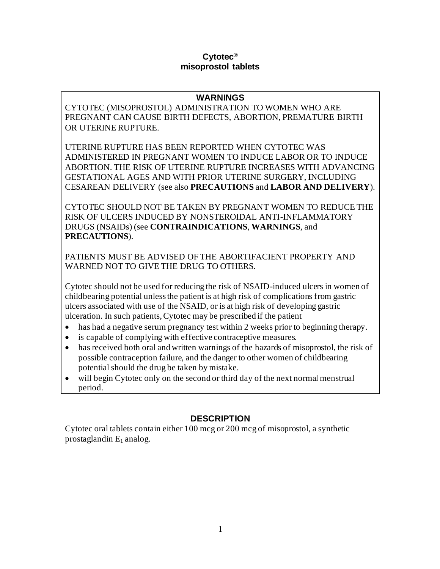#### **Cytotec® misoprostol tablets**

### **WARNINGS**

CYTOTEC (MISOPROSTOL) ADMINISTRATION TO WOMEN WHO ARE PREGNANT CAN CAUSE BIRTH DEFECTS, ABORTION, PREMATURE BIRTH OR UTERINE RUPTURE.

UTERINE RUPTURE HAS BEEN REPORTED WHEN CYTOTEC WAS ADMINISTERED IN PREGNANT WOMEN TO INDUCE LABOR OR TO INDUCE ABORTION. THE RISK OF UTERINE RUPTURE INCREASES WITH ADVANCING GESTATIONAL AGES AND WITH PRIOR UTERINE SURGERY, INCLUDING CESAREAN DELIVERY (see also **PRECAUTIONS** and **LABOR AND DELIVERY**).

CYTOTEC SHOULD NOT BE TAKEN BY PREGNANT WOMEN TO REDUCE THE RISK OF ULCERS INDUCED BY NONSTEROIDAL ANTI-INFLAMMATORY DRUGS (NSAIDs) (see **CONTRAINDICATIONS**, **WARNINGS**, and **PRECAUTIONS**).

PATIENTS MUST BE ADVISED OF THE ABORTIFACIENT PROPERTY AND WARNED NOT TO GIVE THE DRUG TO OTHERS.

Cytotec should not be used for reducing the risk of NSAID-induced ulcers in women of childbearing potential unless the patient is at high risk of complications from gastric ulcers associated with use of the NSAID, or is at high risk of developing gastric ulceration. In such patients, Cytotec may be prescribed if the patient

- has had a negative serum pregnancy test within 2 weeks prior to beginning therapy.
- is capable of complying with effective contraceptive measures.
- has received both oral and written warnings of the hazards of misoprostol, the risk of possible contraception failure, and the danger to other women of childbearing potential should the drug be taken by mistake.
- will begin Cytotec only on the second or third day of the next normal menstrual period.

# **DESCRIPTION**

Cytotec oral tablets contain either 100 mcg or 200 mcg of misoprostol, a synthetic prostaglandin  $E_1$  analog.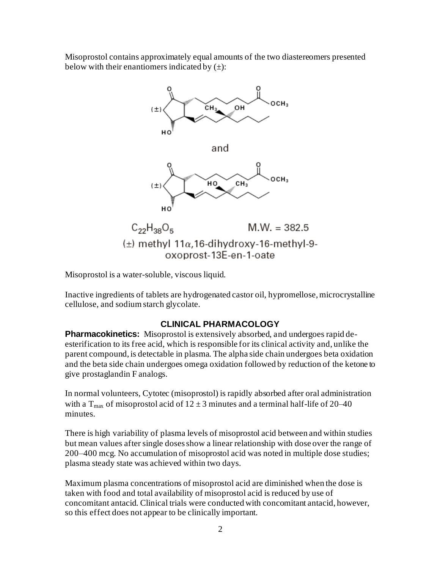Misoprostol contains approximately equal amounts of the two diastereomers presented below with their enantiomers indicated by  $(\pm)$ :



Misoprostol is a water-soluble, viscous liquid.

Inactive ingredients of tablets are hydrogenated castor oil, hypromellose, microcrystalline cellulose, and sodium starch glycolate.

## **CLINICAL PHARMACOLOGY**

**Pharmacokinetics:** Misoprostol is extensively absorbed, and undergoes rapid deesterification to its free acid, which is responsible for its clinical activity and, unlike the parent compound, is detectable in plasma. The alpha side chain undergoes beta oxidation and the beta side chain undergoes omega oxidation followed by reduction of the ketone to give prostaglandin F analogs.

In normal volunteers, Cytotec (misoprostol) is rapidly absorbed after oral administration with a T<sub>max</sub> of misoprostol acid of  $12 \pm 3$  minutes and a terminal half-life of 20–40 minutes.

There is high variability of plasma levels of misoprostol acid between and within studies but mean values after single doses show a linear relationship with dose over the range of 200–400 mcg. No accumulation of misoprostol acid was noted in multiple dose studies; plasma steady state was achieved within two days.

Maximum plasma concentrations of misoprostol acid are diminished when the dose is taken with food and total availability of misoprostol acid is reduced by use of concomitant antacid. Clinical trials were conducted with concomitant antacid, however, so this effect does not appear to be clinically important.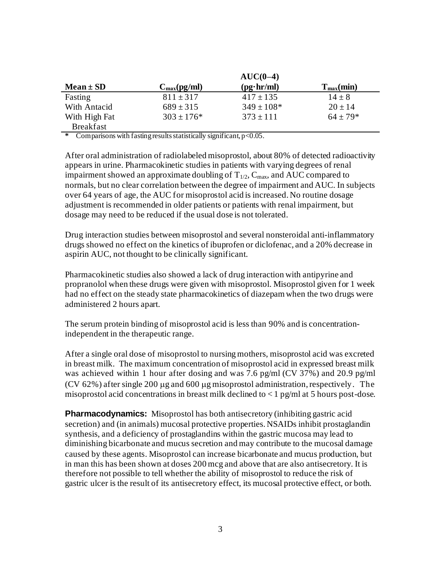|                  |                                | $AUC(0-4)$        |                |
|------------------|--------------------------------|-------------------|----------------|
| $Mean \pm SD$    | $C_{\text{max}}(\text{pg/ml})$ | $(pg\cdot hr/ml)$ | $T_{max}(min)$ |
| Fasting          | $811 \pm 317$                  | $417 \pm 135$     | $14 \pm 8$     |
| With Antacid     | $689 \pm 315$                  | $349 \pm 108*$    | $20 \pm 14$    |
| With High Fat    | $303 \pm 176*$                 | $373 \pm 111$     | $64 \pm 79*$   |
| <b>Breakfast</b> |                                |                   |                |

**\*** Comparisons with fasting results statistically significant, p<0.05.

After oral administration of radiolabeled misoprostol, about 80% of detected radioactivity appears in urine. Pharmacokinetic studies in patients with varying degrees of renal impairment showed an approximate doubling of  $T_{1/2}$ ,  $C_{\text{max}}$ , and AUC compared to normals, but no clear correlation between the degree of impairment and AUC. In subjects over 64 years of age, the AUC for misoprostol acid is increased. No routine dosage adjustment is recommended in older patients or patients with renal impairment, but dosage may need to be reduced if the usual dose is not tolerated.

Drug interaction studies between misoprostol and several nonsteroidal anti-inflammatory drugs showed no effect on the kinetics of ibuprofen or diclofenac, and a 20% decrease in aspirin AUC, not thought to be clinically significant.

Pharmacokinetic studies also showed a lack of drug interaction with antipyrine and propranolol when these drugs were given with misoprostol. Misoprostol given for 1 week had no effect on the steady state pharmacokinetics of diazepam when the two drugs were administered 2 hours apart.

The serum protein binding of misoprostol acid is less than 90% and is concentrationindependent in the therapeutic range.

After a single oral dose of misoprostol to nursing mothers, misoprostol acid was excreted in breast milk. The maximum concentration of misoprostol acid in expressed breast milk was achieved within 1 hour after dosing and was 7.6 pg/ml (CV 37%) and 20.9 pg/ml (CV 62%) after single 200  $\mu$ g and 600  $\mu$ g misoprostol administration, respectively. The misoprostol acid concentrations in breast milk declined to  $\lt 1$  pg/ml at 5 hours post-dose.

**Pharmacodynamics:** Misoprostol has both antisecretory (inhibiting gastric acid secretion) and (in animals) mucosal protective properties. NSAIDs inhibit prostaglandin synthesis, and a deficiency of prostaglandins within the gastric mucosa may lead to diminishing bicarbonate and mucus secretion and may contribute to the mucosal damage caused by these agents. Misoprostol can increase bicarbonate and mucus production, but in man this has been shown at doses 200 mcg and above that are also antisecretory. It is therefore not possible to tell whether the ability of misoprostol to reduce the risk of gastric ulcer is the result of its antisecretory effect, its mucosal protective effect, or both.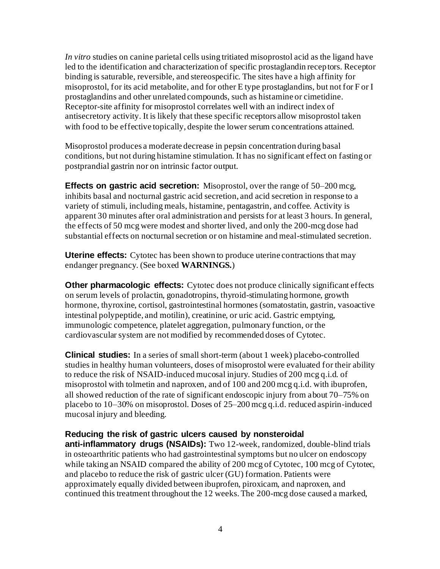*In vitro* studies on canine parietal cells using tritiated misoprostol acid as the ligand have led to the identification and characterization of specific prostaglandin receptors. Receptor binding is saturable, reversible, and stereospecific. The sites have a high affinity for misoprostol, for its acid metabolite, and for other E type prostaglandins, but not for F or I prostaglandins and other unrelated compounds, such as histamine or cimetidine. Receptor-site affinity for misoprostol correlates well with an indirect index of antisecretory activity. It is likely that these specific receptors allow misoprostol taken with food to be effective topically, despite the lower serum concentrations attained.

Misoprostol produces a moderate decrease in pepsin concentration during basal conditions, but not during histamine stimulation. It has no significant effect on fasting or postprandial gastrin nor on intrinsic factor output.

**Effects on gastric acid secretion:** Misoprostol, over the range of 50–200 mcg, inhibits basal and nocturnal gastric acid secretion, and acid secretion in response to a variety of stimuli, including meals, histamine, pentagastrin, and coffee. Activity is apparent 30 minutes after oral administration and persists for at least 3 hours. In general, the effects of 50 mcg were modest and shorter lived, and only the 200-mcg dose had substantial effects on nocturnal secretion or on histamine and meal-stimulated secretion.

**Uterine effects:** Cytotec has been shown to produce uterine contractions that may endanger pregnancy. (See boxed **WARNINGS.**)

**Other pharmacologic effects:** Cytotec does not produce clinically significant effects on serum levels of prolactin, gonadotropins, thyroid-stimulating hormone, growth hormone, thyroxine, cortisol, gastrointestinal hormones (somatostatin, gastrin, vasoactive intestinal polypeptide, and motilin), creatinine, or uric acid. Gastric emptying, immunologic competence, platelet aggregation, pulmonary function, or the cardiovascular system are not modified by recommended doses of Cytotec.

**Clinical studies:** In a series of small short-term (about 1 week) placebo-controlled studies in healthy human volunteers, doses of misoprostol were evaluated for their ability to reduce the risk of NSAID-induced mucosal injury. Studies of 200 mcg q.i.d. of misoprostol with tolmetin and naproxen, and of 100 and 200 mcg q.i.d. with ibuprofen, all showed reduction of the rate of significant endoscopic injury from about 70–75% on placebo to 10–30% on misoprostol. Doses of 25–200 mcg q.i.d. reduced aspirin-induced mucosal injury and bleeding.

### **Reducing the risk of gastric ulcers caused by nonsteroidal**

**anti-inflammatory drugs (NSAIDs):** Two 12-week, randomized, double-blind trials in osteoarthritic patients who had gastrointestinal symptoms but no ulcer on endoscopy while taking an NSAID compared the ability of 200 mcg of Cytotec, 100 mcg of Cytotec, and placebo to reduce the risk of gastric ulcer (GU) formation. Patients were approximately equally divided between ibuprofen, piroxicam, and naproxen, and continued this treatment throughout the 12 weeks. The 200-mcg dose caused a marked,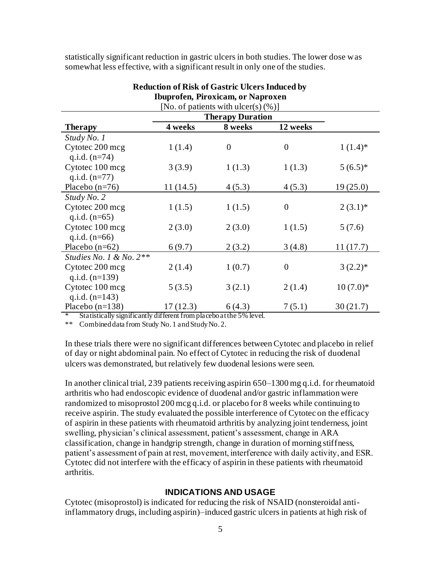statistically significant reduction in gastric ulcers in both studies. The lower dose was somewhat less effective, with a significant result in only one of the studies.

| Touprofen, Piroxicam, or Naproxen       |          |                |                  |            |  |
|-----------------------------------------|----------|----------------|------------------|------------|--|
| [No. of patients with $ulcer(s) (\%)$ ] |          |                |                  |            |  |
| <b>Therapy Duration</b>                 |          |                |                  |            |  |
| <b>Therapy</b>                          | 4 weeks  | 8 weeks        | 12 weeks         |            |  |
| Study No. 1                             |          |                |                  |            |  |
| Cytotec 200 mcg                         | 1(1.4)   | $\overline{0}$ | $\boldsymbol{0}$ | $1(1.4)^*$ |  |
| q.i.d. $(n=74)$                         |          |                |                  |            |  |
| Cytotec 100 mcg                         | 3(3.9)   | 1(1.3)         | 1(1.3)           | $5(6.5)*$  |  |
| q.i.d. $(n=77)$                         |          |                |                  |            |  |
| Placebo $(n=76)$                        | 11(14.5) | 4(5.3)         | 4(5.3)           | 19(25.0)   |  |
| Study No. 2                             |          |                |                  |            |  |
| Cytotec 200 mcg                         | 1(1.5)   | 1(1.5)         | $\boldsymbol{0}$ | $2(3.1)$ * |  |
| q.i.d. $(n=65)$                         |          |                |                  |            |  |
| Cytotec 100 mcg                         | 2(3.0)   | 2(3.0)         | 1(1.5)           | 5(7.6)     |  |
| q.i.d. $(n=66)$                         |          |                |                  |            |  |
| Placebo $(n=62)$                        | 6(9.7)   | 2(3.2)         | 3(4.8)           | 11(17.7)   |  |
| Studies No. 1 & No. $2**$               |          |                |                  |            |  |
| Cytotec 200 mcg                         | 2(1.4)   | 1(0.7)         | $\overline{0}$   | $3(2.2)*$  |  |
| q.i.d. $(n=139)$                        |          |                |                  |            |  |
| Cytotec 100 mcg                         | 5(3.5)   | 3(2.1)         | 2(1.4)           | $10(7.0)*$ |  |
| q.i.d. $(n=143)$                        |          |                |                  |            |  |
| Placebo $(n=138)$                       | 17(12.3) | 6(4.3)         | 7(5.1)           | 30(21.7)   |  |

#### **Reduction of Risk of Gastric Ulcers Induced by Ibuprofen, Piroxicam, or Naproxen**

Statistically significantly different from placebo at the 5% level.

\*\* Combined data from Study No. 1 and Study No. 2.

In these trials there were no significant differences between Cytotec and placebo in relief of day or night abdominal pain. No effect of Cytotec in reducing the risk of duodenal ulcers was demonstrated, but relatively few duodenal lesions were seen.

In another clinical trial, 239 patients receiving aspirin 650–1300 mg q.i.d. for rheumatoid arthritis who had endoscopic evidence of duodenal and/or gastric inflammation were randomized to misoprostol 200 mcg q.i.d. or placebo for 8 weeks while continuing to receive aspirin. The study evaluated the possible interference of Cytotec on the efficacy of aspirin in these patients with rheumatoid arthritis by analyzing joint tenderness, joint swelling, physician's clinical assessment, patient's assessment, change in ARA classification, change in handgrip strength, change in duration of morning stiffness, patient's assessment of pain at rest, movement, interference with daily activity, and ESR. Cytotec did not interfere with the efficacy of aspirin in these patients with rheumatoid arthritis.

#### **INDICATIONS AND USAGE**

Cytotec (misoprostol) is indicated for reducing the risk of NSAID (nonsteroidal antiinflammatory drugs, including aspirin)–induced gastric ulcers in patients at high risk of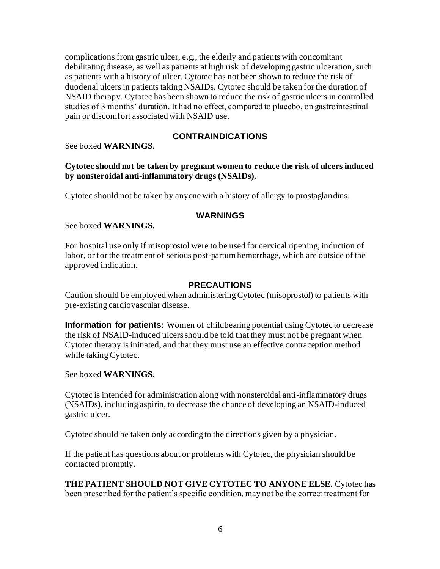complications from gastric ulcer, e.g., the elderly and patients with concomitant debilitating disease, as well as patients at high risk of developing gastric ulceration, such as patients with a history of ulcer. Cytotec has not been shown to reduce the risk of duodenal ulcers in patients taking NSAIDs. Cytotec should be taken for the duration of NSAID therapy. Cytotec has been shown to reduce the risk of gastric ulcers in controlled studies of 3 months' duration. It had no effect, compared to placebo, on gastrointestinal pain or discomfort associated with NSAID use.

### **CONTRAINDICATIONS**

See boxed **WARNINGS.**

#### **Cytotec should not be taken by pregnant women to reduce the risk of ulcers induced by nonsteroidal anti-inflammatory drugs (NSAIDs).**

Cytotec should not be taken by anyone with a history of allergy to prostaglandins.

### **WARNINGS**

See boxed **WARNINGS.**

For hospital use only if misoprostol were to be used for cervical ripening, induction of labor, or for the treatment of serious post-partum hemorrhage, which are outside of the approved indication.

### **PRECAUTIONS**

Caution should be employed when administering Cytotec (misoprostol) to patients with pre-existing cardiovascular disease.

**Information for patients:** Women of childbearing potential using Cytotec to decrease the risk of NSAID-induced ulcers should be told that they must not be pregnant when Cytotec therapy is initiated, and that they must use an effective contraception method while taking Cytotec.

See boxed **WARNINGS.**

Cytotec is intended for administration along with nonsteroidal anti-inflammatory drugs (NSAIDs), including aspirin, to decrease the chance of developing an NSAID-induced gastric ulcer.

Cytotec should be taken only according to the directions given by a physician.

If the patient has questions about or problems with Cytotec, the physician should be contacted promptly.

**THE PATIENT SHOULD NOT GIVE CYTOTEC TO ANYONE ELSE.** Cytotec has been prescribed for the patient's specific condition, may not be the correct treatment for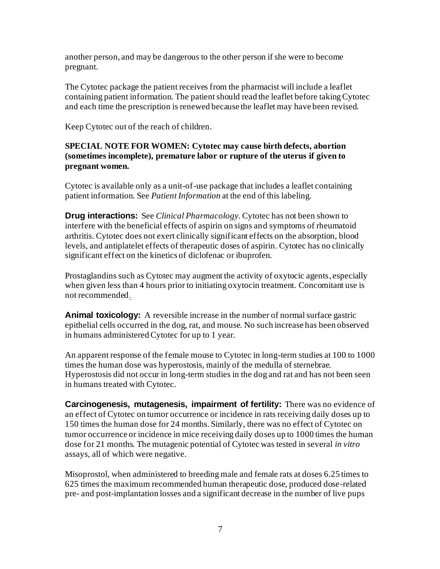another person, and may be dangerous to the other person if she were to become pregnant.

The Cytotec package the patient receives from the pharmacist will include a leaflet containing patient information. The patient should read the leaflet before taking Cytotec and each time the prescription is renewed because the leaflet may have been revised.

Keep Cytotec out of the reach of children.

### **SPECIAL NOTE FOR WOMEN: Cytotec may cause birth defects, abortion (sometimes incomplete), premature labor or rupture of the uterus if given to pregnant women.**

Cytotec is available only as a unit-of-use package that includes a leaflet containing patient information. See *Patient Information* at the end of this labeling.

**Drug interactions:** See *Clinical Pharmacology.* Cytotec has not been shown to interfere with the beneficial effects of aspirin on signs and symptoms of rheumatoid arthritis. Cytotec does not exert clinically significant effects on the absorption, blood levels, and antiplatelet effects of therapeutic doses of aspirin. Cytotec has no clinically significant effect on the kinetics of diclofenac or ibuprofen.

Prostaglandins such as Cytotec may augment the activity of oxytocic agents, especially when given less than 4 hours prior to initiating oxytocin treatment. Concomitant use is not recommended.

**Animal toxicology:** A reversible increase in the number of normal surface gastric epithelial cells occurred in the dog, rat, and mouse. No such increase has been observed in humans administered Cytotec for up to 1 year.

An apparent response of the female mouse to Cytotec in long-term studies at 100 to 1000 times the human dose was hyperostosis, mainly of the medulla of sternebrae. Hyperostosis did not occur in long-term studies in the dog and rat and has not been seen in humans treated with Cytotec.

**Carcinogenesis, mutagenesis, impairment of fertility:** There was no evidence of an effect of Cytotec on tumor occurrence or incidence in rats receiving daily doses up to 150 times the human dose for 24 months. Similarly, there was no effect of Cytotec on tumor occurrence or incidence in mice receiving daily doses up to 1000 times the human dose for 21 months. The mutagenic potential of Cytotec was tested in several *in vitro*  assays, all of which were negative.

Misoprostol, when administered to breeding male and female rats at doses 6.25 times to 625 times the maximum recommended human therapeutic dose, produced dose-related pre- and post-implantation losses and a significant decrease in the number of live pups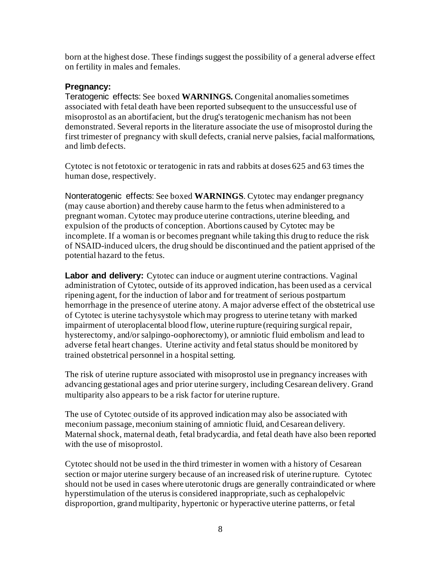born at the highest dose. These findings suggest the possibility of a general adverse effect on fertility in males and females.

#### **Pregnancy:**

Teratogenic effects: See boxed **WARNINGS.** Congenital anomalies sometimes associated with fetal death have been reported subsequent to the unsuccessful use of misoprostol as an abortifacient, but the drug's teratogenic mechanism has not been demonstrated. Several reports in the literature associate the use of misoprostol during the first trimester of pregnancy with skull defects, cranial nerve palsies, facial malformations, and limb defects.

Cytotec is not fetotoxic or teratogenic in rats and rabbits at doses 625 and 63 times the human dose, respectively.

Nonteratogenic effects: See boxed **WARNINGS**. Cytotec may endanger pregnancy (may cause abortion) and thereby cause harm to the fetus when administered to a pregnant woman. Cytotec may produce uterine contractions, uterine bleeding, and expulsion of the products of conception. Abortions caused by Cytotec may be incomplete. If a woman is or becomes pregnant while taking this drug to reduce the risk of NSAID-induced ulcers, the drug should be discontinued and the patient apprised of the potential hazard to the fetus.

**Labor and delivery:** Cytotec can induce or augment uterine contractions. Vaginal administration of Cytotec, outside of its approved indication, has been used as a cervical ripening agent, for the induction of labor and for treatment of serious postpartum hemorrhage in the presence of uterine atony. A major adverse effect of the obstetrical use of Cytotec is uterine tachysystole which may progress to uterine tetany with marked impairment of uteroplacental blood flow, uterine rupture (requiring surgical repair, hysterectomy, and/or salpingo-oophorectomy), or amniotic fluid embolism and lead to adverse fetal heart changes. Uterine activity and fetal status should be monitored by trained obstetrical personnel in a hospital setting.

The risk of uterine rupture associated with misoprostol use in pregnancy increases with advancing gestational ages and prior uterine surgery, including Cesarean delivery. Grand multiparity also appears to be a risk factor for uterine rupture.

The use of Cytotec outside of its approved indication may also be associated with meconium passage, meconium staining of amniotic fluid, and Cesarean delivery. Maternal shock, maternal death, fetal bradycardia, and fetal death have also been reported with the use of misoprostol.

Cytotec should not be used in the third trimester in women with a history of Cesarean section or major uterine surgery because of an increased risk of uterine rupture. Cytotec should not be used in cases where uterotonic drugs are generally contraindicated or where hyperstimulation of the uterus is considered inappropriate, such as cephalopelvic disproportion, grand multiparity, hypertonic or hyperactive uterine patterns, or fetal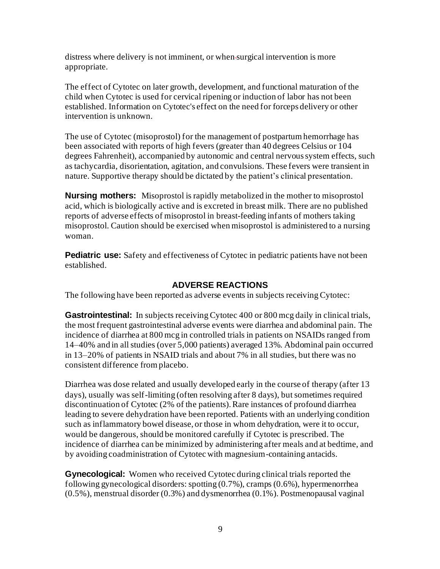distress where delivery is not imminent, or when surgical intervention is more appropriate.

The effect of Cytotec on later growth, development, and functional maturation of the child when Cytotec is used for cervical ripening or induction of labor has not been established. Information on Cytotec's effect on the need for forceps delivery or other intervention is unknown.

The use of Cytotec (misoprostol) for the management of postpartum hemorrhage has been associated with reports of high fevers (greater than 40 degrees Celsius or 104 degrees Fahrenheit), accompanied by autonomic and central nervous system effects, such as tachycardia, disorientation, agitation, and convulsions. These fevers were transient in nature. Supportive therapy should be dictated by the patient's clinical presentation.

**Nursing mothers:** Misoprostol is rapidly metabolized in the mother to misoprostol acid, which is biologically active and is excreted in breast milk. There are no published reports of adverse effects of misoprostol in breast-feeding infants of mothers taking misoprostol. Caution should be exercised when misoprostol is administered to a nursing woman.

**Pediatric use:** Safety and effectiveness of Cytotec in pediatric patients have not been established.

## **ADVERSE REACTIONS**

The following have been reported as adverse events in subjects receiving Cytotec:

**Gastrointestinal:** In subjects receiving Cytotec 400 or 800 mcg daily in clinical trials, the most frequent gastrointestinal adverse events were diarrhea and abdominal pain. The incidence of diarrhea at 800 mcg in controlled trials in patients on NSAIDs ranged from 14–40% and in all studies (over 5,000 patients) averaged 13%. Abdominal pain occurred in 13–20% of patients in NSAID trials and about 7% in all studies, but there was no consistent difference from placebo.

Diarrhea was dose related and usually developed early in the course of therapy (after 13 days), usually was self-limiting (often resolving after 8 days), but sometimes required discontinuation of Cytotec (2% of the patients). Rare instances of profound diarrhea leading to severe dehydration have been reported. Patients with an underlying condition such as inflammatory bowel disease, or those in whom dehydration, were it to occur, would be dangerous, should be monitored carefully if Cytotec is prescribed. The incidence of diarrhea can be minimized by administering after meals and at bedtime, and by avoiding coadministration of Cytotec with magnesium-containing antacids.

**Gynecological:** Women who received Cytotec during clinical trials reported the following gynecological disorders: spotting (0.7%), cramps (0.6%), hypermenorrhea (0.5%), menstrual disorder (0.3%) and dysmenorrhea (0.1%). Postmenopausal vaginal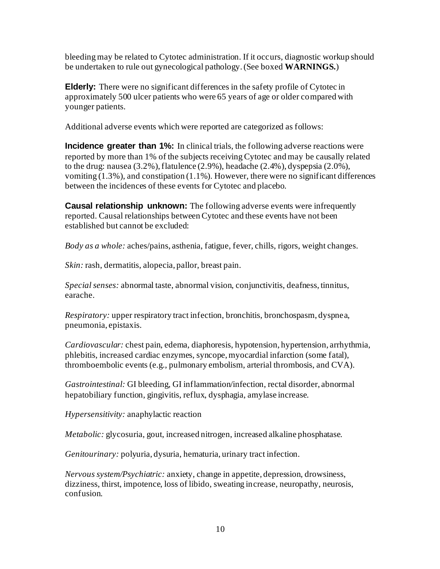bleeding may be related to Cytotec administration. If it occurs, diagnostic workup should be undertaken to rule out gynecological pathology. (See boxed **WARNINGS.**)

**Elderly:** There were no significant differences in the safety profile of Cytotec in approximately 500 ulcer patients who were 65 years of age or older compared with younger patients.

Additional adverse events which were reported are categorized as follows:

**Incidence greater than 1%:** In clinical trials, the following adverse reactions were reported by more than 1% of the subjects receiving Cytotec and may be causally related to the drug: nausea (3.2%), flatulence (2.9%), headache (2.4%), dyspepsia (2.0%), vomiting  $(1.3\%)$ , and constipation  $(1.1\%)$ . However, there were no significant differences between the incidences of these events for Cytotec and placebo.

**Causal relationship unknown:** The following adverse events were infrequently reported. Causal relationships between Cytotec and these events have not been established but cannot be excluded:

*Body as a whole:* aches/pains, asthenia, fatigue, fever, chills, rigors, weight changes.

*Skin:* rash, dermatitis, alopecia, pallor, breast pain.

*Special senses:* abnormal taste, abnormal vision, conjunctivitis, deafness, tinnitus, earache.

*Respiratory:* upper respiratory tract infection, bronchitis, bronchospasm, dyspnea, pneumonia, epistaxis.

*Cardiovascular:* chest pain, edema, diaphoresis, hypotension, hypertension, arrhythmia, phlebitis, increased cardiac enzymes, syncope, myocardial infarction (some fatal), thromboembolic events (e.g., pulmonary embolism, arterial thrombosis, and CVA).

*Gastrointestinal:* GI bleeding, GI inflammation/infection, rectal disorder, abnormal hepatobiliary function, gingivitis, reflux, dysphagia, amylase increase.

*Hypersensitivity:* anaphylactic reaction

*Metabolic:* glycosuria, gout, increased nitrogen, increased alkaline phosphatase.

*Genitourinary:* polyuria, dysuria, hematuria, urinary tract infection.

*Nervous system/Psychiatric:* anxiety, change in appetite, depression, drowsiness, dizziness, thirst, impotence, loss of libido, sweating increase, neuropathy, neurosis, confusion.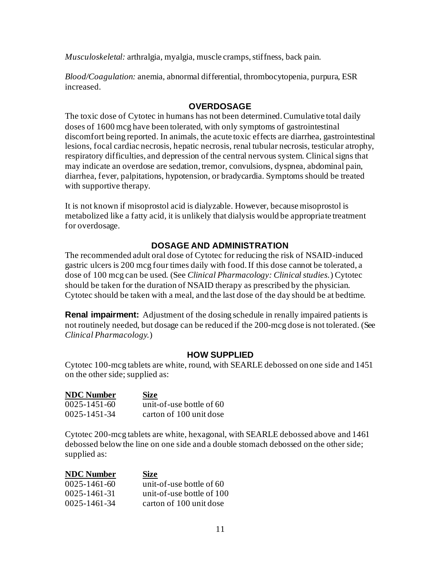*Musculoskeletal:* arthralgia, myalgia, muscle cramps, stiffness, back pain.

*Blood/Coagulation:* anemia, abnormal differential, thrombocytopenia, purpura, ESR increased.

### **OVERDOSAGE**

The toxic dose of Cytotec in humans has not been determined. Cumulative total daily doses of 1600 mcg have been tolerated, with only symptoms of gastrointestinal discomfort being reported. In animals, the acute toxic effects are diarrhea, gastrointestinal lesions, focal cardiac necrosis, hepatic necrosis, renal tubular necrosis, testicular atrophy, respiratory difficulties, and depression of the central nervous system. Clinical signs that may indicate an overdose are sedation, tremor, convulsions, dyspnea, abdominal pain, diarrhea, fever, palpitations, hypotension, or bradycardia. Symptoms should be treated with supportive therapy.

It is not known if misoprostol acid is dialyzable. However, because misoprostol is metabolized like a fatty acid, it is unlikely that dialysis would be appropriate treatment for overdosage.

## **DOSAGE AND ADMINISTRATION**

The recommended adult oral dose of Cytotec for reducing the risk of NSAID-induced gastric ulcers is 200 mcg four times daily with food. If this dose cannot be tolerated, a dose of 100 mcg can be used. (See *Clinical Pharmacology: Clinical studies.*) Cytotec should be taken for the duration of NSAID therapy as prescribed by the physician. Cytotec should be taken with a meal, and the last dose of the day should be at bedtime.

**Renal impairment:** Adjustment of the dosing schedule in renally impaired patients is not routinely needed, but dosage can be reduced if the 200-mcg dose is not tolerated. (See *Clinical Pharmacology.*)

### **HOW SUPPLIED**

Cytotec 100-mcg tablets are white, round, with SEARLE debossed on one side and 1451 on the other side; supplied as:

| <b>NDC</b> Number  | <b>Size</b>                |
|--------------------|----------------------------|
| $0025 - 1451 - 60$ | unit-of-use bottle of $60$ |
| 0025-1451-34       | carton of 100 unit dose    |

Cytotec 200-mcg tablets are white, hexagonal, with SEARLE debossed above and 1461 debossed below the line on one side and a double stomach debossed on the other side; supplied as:

| <b>NDC</b> Number  | <b>Size</b>               |
|--------------------|---------------------------|
| $0025 - 1461 - 60$ | unit-of-use bottle of 60  |
| $0025 - 1461 - 31$ | unit-of-use bottle of 100 |
| $0025 - 1461 - 34$ | carton of 100 unit dose   |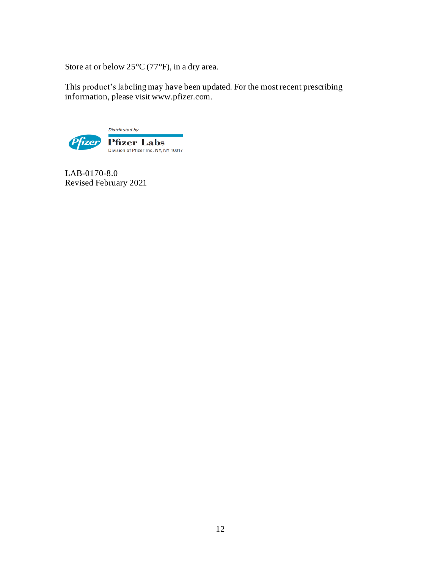Store at or below 25°C (77°F), in a dry area.

This product's labeling may have been updated. For the most recent prescribing information, please visit www.pfizer.com.



LAB-0170-8.0 Revised February 2021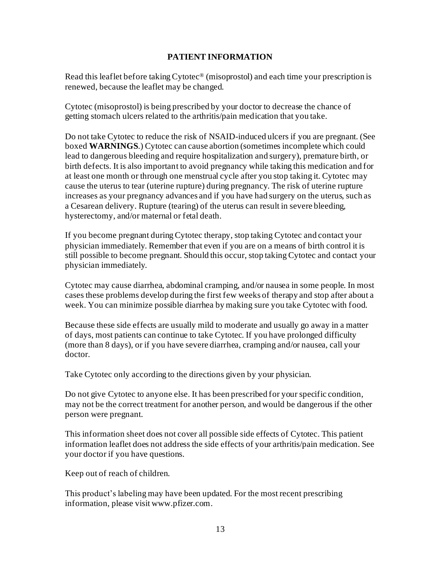### **PATIENT INFORMATION**

Read this leaflet before taking  $\text{Cytote}^{\otimes}$  (misoprostol) and each time your prescription is renewed, because the leaflet may be changed.

Cytotec (misoprostol) is being prescribed by your doctor to decrease the chance of getting stomach ulcers related to the arthritis/pain medication that you take.

Do not take Cytotec to reduce the risk of NSAID-induced ulcers if you are pregnant. (See boxed **WARNINGS**.) Cytotec can cause abortion (sometimes incomplete which could lead to dangerous bleeding and require hospitalization and surgery), premature birth, or birth defects. It is also important to avoid pregnancy while taking this medication and for at least one month or through one menstrual cycle after you stop taking it. Cytotec may cause the uterus to tear (uterine rupture) during pregnancy. The risk of uterine rupture increases as your pregnancy advances and if you have had surgery on the uterus, such as a Cesarean delivery. Rupture (tearing) of the uterus can result in severe bleeding, hysterectomy, and/or maternal or fetal death.

If you become pregnant during Cytotec therapy, stop taking Cytotec and contact your physician immediately. Remember that even if you are on a means of birth control it is still possible to become pregnant. Should this occur, stop taking Cytotec and contact your physician immediately.

Cytotec may cause diarrhea, abdominal cramping, and/or nausea in some people. In most cases these problems develop during the first few weeks of therapy and stop after about a week. You can minimize possible diarrhea by making sure you take Cytotec with food.

Because these side effects are usually mild to moderate and usually go away in a matter of days, most patients can continue to take Cytotec. If you have prolonged difficulty (more than 8 days), or if you have severe diarrhea, cramping and/or nausea, call your doctor.

Take Cytotec only according to the directions given by your physician.

Do not give Cytotec to anyone else. It has been prescribed for your specific condition, may not be the correct treatment for another person, and would be dangerous if the other person were pregnant.

This information sheet does not cover all possible side effects of Cytotec. This patient information leaflet does not address the side effects of your arthritis/pain medication. See your doctor if you have questions.

Keep out of reach of children.

This product's labeling may have been updated. For the most recent prescribing information, please visit www.pfizer.com.